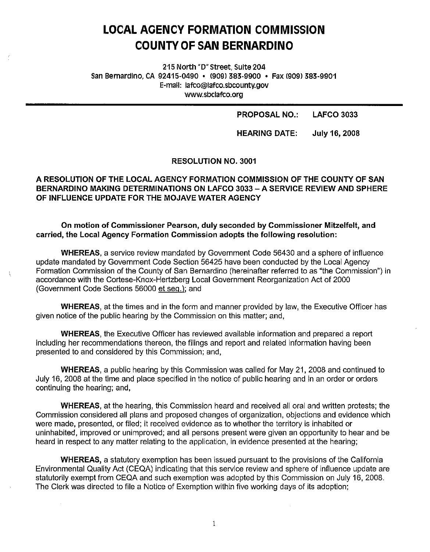# **LOCAL AGENCY FORMATION COMMISSION COUNTY OF SAN BERNARDINO**

215 North "D" Street, Suite 204 San Bernardino, CA 92415-0490 • 1909) 383-9900 • Fax 1909) 383-9901 E-mail: lafco@lafco.sbcounty.gov www.sbclafco.org

PROPOSAL NO.: LAFCO 3033

HEARING DATE: July 16, 2008

RESOLUTION NO. 3001

# A RESOLUTION OF THE LOCAL AGENCY FORMATION COMMISSION OF THE COUNTY OF SAN BERNARDINO MAKING DETERMINATIONS ON LAFCO 3033 -A SERVICE REVIEW AND SPHERE OF INFLUENCE UPDATE FOR THE MOJAVE WATER AGENCY

## **On motion of Commissioner Pearson, duly seconded by Commissioner Mitzelfelt, and carried, the Local Agency Formation Commission adopts the following resolution:**

**WHEREAS,** a service review mandated by Government Code 56430 and a sphere of influence update mandated by Government Code Section 56425 have been conducted by the Local Agency Formation Commission of the County of San Bernardino (hereinafter referred to as "the Commission") in accordance with the Cortese-Knox-Hertzberg Local Government Reorganization Act of 2000 (Government Code Sections 56000 et seq.); and

ţ

**WHEREAS,** at the times and in the form and manner provided by law, the Executive Officer has given notice of the public hearing by the Commission on this matter; and,

**WHEREAS,** the Executive Officer has reviewed available information and prepared a report including her recommendations thereon, the filings and report and related information having been presented to and considered by this Commission; and,

**WHEREAS,** a public hearing by this Commission was called for May 21, 2008 and continued to July 16, 2008 at the time and place specified in the notice of public hearing and in an order or orders continuing the hearing; and,

**WHEREAS,** at the hearing, this Commission heard and received all oral and written protests; the Commission considered all plans and proposed changes of organization, objections and evidence which were made, presented, or filed; it received evidence as to whether the territory is inhabited or uninhabited, improved or unimproved; and all persons present were given an opportunity to hear and be heard in respect to any matter relating to the application, in evidence presented at the hearing;

**WHEREAS,** a statutory exemption has been issued pursuant to the provisions of the California Environmental Quality Act (CEQA) indicating that this service review and sphere of influence update are statutorily exempt from CEQA and such exemption was adopted by this Commission on July 16, 2008. The Clerk was directed to file a Notice of Exemption within five working days of its adoption;

1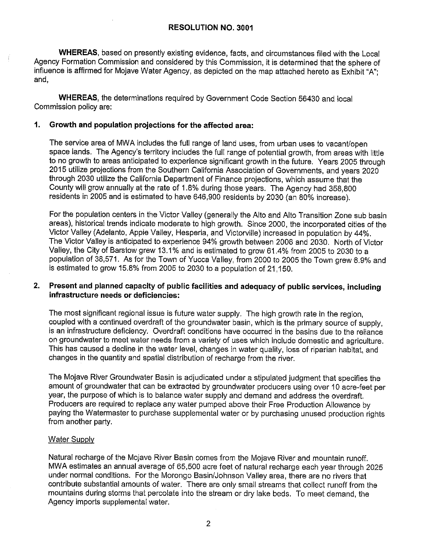**WHEREAS,** based on presently existing evidence, facts, and circumstances filed with the Local Agency Formation Commission and considered by this Commission, it is determined that the sphere of influence is affirmed for Mojave Water Agency, as depicted on the map attached hereto as Exhibit "A"; and,

**WHEREAS,** the determinations required by Government Code Section 56430 and local Commission policy are:

# **1. Growth and population projections for the affected area:**

The service area of MWA includes the full range of land uses, from urban uses to vacant/open space lands. The Agency's territory includes the full range of potential growth, from areas with little to no growth to areas anticipated to experience significant growth in the future. Years 2005 through 2015 utilize projections from the Southern California Association of Governments, and years 2020 through 2030 utilize the California Department of Finance projections, which assume that the County will grow annually at the rate of 1.8% during those years. The Agency had 358,800 residents in 2005 and is estimated to have 646,900 residents by 2030 (an 80% increase).

For the population centers in the Victor Valley (generally the Alto and Alto Transition Zone sub basin areas), historical trends indicate moderate to high growth. Since 2000, the incorporated cities of the Victor Valley (Adelanto, Apple Valley, Hesperia, and Victorville) increased in population by 44%. The Victor Valley is anticipated to experience 94% growth between 2006 and 2030. North of Victor Valley, the City of Barstow grew 13.1% and is estimated to grow 61.4% from 2005 to 2030 to a population of 38,571. As for the Town of Yucca Valley, from 2000 to 2005 the Town grew 8.9% and is estimated to grow 15.8% from 2005 to 2030 to a population of 21,150.

# **2. Present and planned capacity of public facilities and adequacy of public services, including infrastructure needs or deficiencies:**

The most significant regional issue is future water supply. The high growth rate in the region, coupled with a continued overdraft of the groundwater basin, which is the primary source of supply, is an infrastructure deficiency. Overdraft conditions have occurred in the basins due to the reliance on groundwater to meet water needs from a variety of uses which include domestic and agriculture. This has caused a decline in the water level, changes in water quality, loss of riparian habitat, and changes in the quantity and spatial distribution of recharge from the river.

The Mojave River Groundwater Basin is adjudicated under a stipulated judgment that specifies the amount of groundwater that can be extracted by groundwater producers using over 10 acre-feet per year, the purpose of which is to balance water supply and demand and address the overdraft. Producers are required to replace any water pumped above their Free Production Allowance by paying the Watermaster to purchase supplemental water or by purchasing unused production rights from another party.

# Water Supply

Natural recharge of the Mojave River Basin comes from the Mojave River and mountain runoff. MWA estimates an annual average of 65,500 acre feet of natural recharge each year through 2025 under normal conditions. For the Morongo Basin/Johnson Valley area, there are no rivers that contribute substantial amounts of water. There are only small streams that collect runoff from the mountains during storms that percolate into the stream or dry lake beds. To meet demand, the Agency imports supplemental water.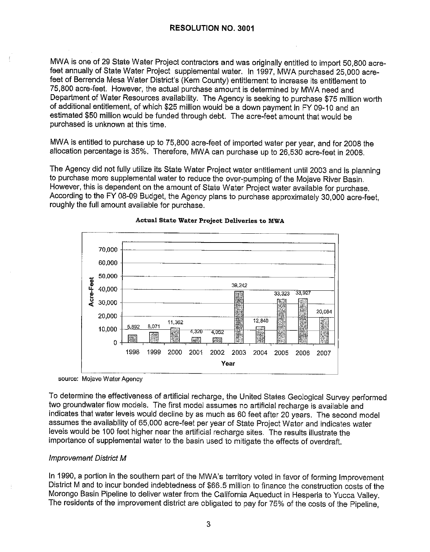MWA is one of 29 State Water Project contractors and was originally entitled to import 50,800 acrefeet annually of State Water Project supplemental water. In 1997, MWA purchased 25,000 acrefeet of Berrenda Mesa Water District's (Kern County) entitlement to increase its entitlement to 75,800 acre-feet. However, the actual purchase amount is determined by MWA need and Department of Water Resources availability. The Agency is seeking to purchase \$75 million worth of additional entitlement, of which \$25 million would be a down payment in FY 09-10 and an estimated \$50 million would be funded through debt. The acre-feet amount that would be purchased is unknown at this time.

MWA is entitled to purchase up to 75,800 acre-feet of imported water per year, and for 2008 the allocation percentage is 35%. Therefore, MWA can purchase up to 26,530 acre-feet in 2008.

The Agency did not fully utilize its State Water Project water entitlement until 2003 and is planning to purchase more supplemental water to reduce the over-pumping of the Mojave River Basin. However, this is dependent on the amount of State Water Project water available for purchase. According to the FY 08-09 Budget, the Agency plans to purchase approximately 30,000 acre-feet, roughly the full amount available for purchase.



#### **Actual State Water Project Deliveries to MWA**

source: Mojave Water Agency

To determine the effectiveness of artificial recharge, the United States Geological Survey performed two groundwater flow models. The first model assumes no artificial recharge is available and indicates that water levels would decline by as much as 60 feet after 20 years. The second model assumes the availability of 65,000 acre-feet per year of State Project Water and indicates water levels would be 100 feet higher near the artificial recharge sites. The results illustrate the importance of supplemental water to the basin used to mitigate the effects of overdraft.

# Improvement District M

In 1990, a portion in the southern part of the MWA's territory voted in favor of forming Improvement District Mand to incur bonded indebtedness of \$66.5 million to finance the construction costs of the Morongo Basin Pipeline to deliver water from the California Aqueduct in Hesperia to Yucca Valley. The residents of the improvement district are obligated to pay for 75% of the costs of the Pipeline,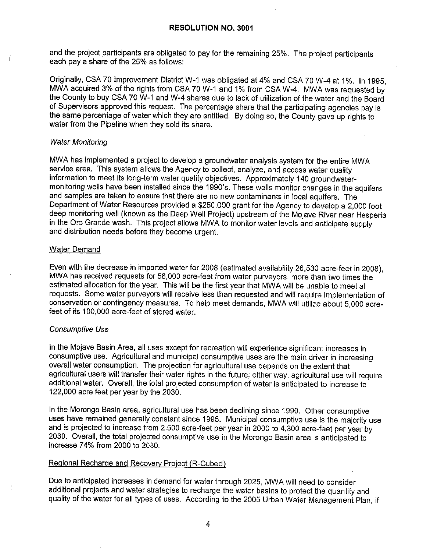and the project participants are obligated to pay for the remaining 25%. The project participants each pay a share of the 25% as follows:

Originally, CSA 70 Improvement District W-1 was obligated at 4% and CSA 70 W-4 at 1%. In 1995, MWA acquired 3% of the rights from CSA 70 W-1 and 1% from CSA W-4. MWA was requested by the County to buy CSA 70 W-1 and W-4 shares due to lack of utilization of the water and the Board of Supervisors approved this request. The percentage share that the participating agencies pay is the same percentage of water which they are entitled. By doing so, the County gave up rights to water from the Pipeline when they sold its share.

#### Water Monitoring

MWA has implemented a project to develop a groundwater analysis system for the entire MWA service area. This system allows the Agency to collect, analyze, and access water quality information to meet its long-term water quality objectives. Approximately 140 groundwatermonitoring wells have been installed since the 1990's. These wells monitor changes in the aquifers and samples are taken to ensure that there are no new contaminants in local aquifers. The Department of Water Resources provided a \$250,000 grant for the Agency to develop a 2,000 foot deep monitoring well (known as the Deep Well Project) upstream of the Mojave River near Hesperia in the Oro Grande wash. This project allows MWA to monitor water levels and anticipate supply and distribution needs before they become urgent.

#### Water Demand

Even with the decrease in imported water for 2008 (estimated availability 26,530 acre-feet in 2008), MWA has received requests for 58,000 acre-feet from water purveyors, more than two times the estimated allocation for the year. This will be the first year that MWA will be unable to meet all requests. Some water purveyors will receive less than requested and will require implementation of conservation or contingency measures. To help meet demands, MWA will utilize about 5,000 acrefeet of its 100,000 acre-feet of stored water.

# Consumptive Use

In the Mojave Basin Area, all uses except for recreation will experience significant increases in consumptive use. Agricultural and municipal consumptive uses are the main driver in increasing overall water consumption. The projection for agricultural use depends on the extent that agricultural users will transfer their water rights in the future; either way, agricultural use will require additional water. Overall, the total projected consumption of water is anticipated to increase to 122,000 acre feet per year by the 2030.

In the Morongo Basin area, agricultural use has been declining since 1990. Other consumptive uses have remained generally constant since 1995. Municipal consumptive use is the majority use and is projected to increase from 2,500 acre-feet per year in 2000 to 4,300 acre-feet per year by 2030. Overall, the total projected consumptive use in the Morongo Basin area is anticipated to increase 74% from 2000 to 2030.

# Regional Recharge and Recovery Project (R-Cubed)

Due to anticipated increases in demand for water through 2025, MWA will need to consider additional projects and water strategies to recharge the water basins to protect the quantity and quality of the water for all types of uses. According to the 2005 Urban Water Management Plan, if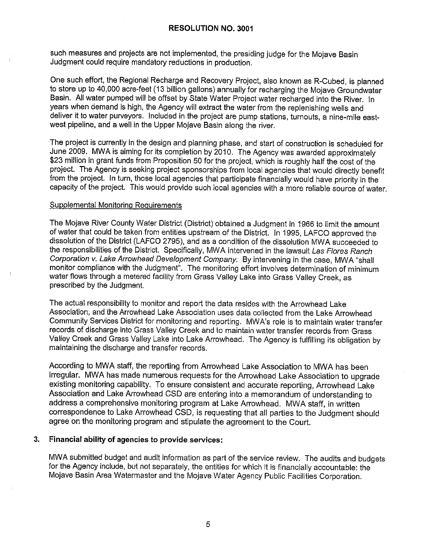such measures and projects are not implemented, the presiding judge for the Mojave Basin Judgment could require mandatory reductions in production.

One such effort, the Regional Recharge and Recovery Project, also known as R-Cubed, is planned to store up to 40,000 acre-feet (13 billion gallons) annually for recharging the Mojave Groundwater Basin. All water pumped will be offset by State Water Project water recharged into the River. In years when demand is high, the Agency will extract the water from the replenishing wells and deliver it to water purveyors. Included in the project are pump stations, turnouts, a nine-mile eastwest pipeline, and a well in the Upper Mojave Basin along the river.

The project is currently in the design and planning phase, and start of construction is scheduled for June 2009. MWA is aiming for its completion by 2010. The Agency was awarded approximately \$23 million in grant funds from Proposition 50 for the project, which is roughly half the cost of the project. The Agency is seeking project sponsorships from local agencies that would directly benefit from the project. In turn, those local agencies that participate financially would have priority in the capacity of the project. This would provide such local agencies with a more reliable source of water.

# Supplemental Monitoring Requirements

The Mojave River County Water District (District) obtained a Judgment in 1966 to limit the amount of water that could be taken from entities upstream of the District. In 1995, LAFCO approved the dissolution of the District (LAFCO 2795), and as a condition of the dissolution MWA succeeded to the responsibilities of the District. Specifically, MWA intervened in the lawsuit Las Flores Ranch Corporation v. Lake Arrowhead Development Company. By intervening in the case, MWA "shall monitor compliance with the Judgment". The monitoring effort involves determination of minimum water flows through a metered facility from Grass Valley Lake into Grass Valley Creek, as prescribed by the Judgment.

The actual responsibility to monitor and report the data resides with the Arrowhead Lake Association, and the Arrowhead Lake Association uses data collected from the Lake Arrowhead Community Services District for monitoring and reporting. MWA's role is to maintain water transfer records of discharge into Grass Valley Creek and to maintain water transfer records from Grass Valley Creek and Grass Valley Lake into Lake Arrowhead. The Agency is fulfilling its obligation by maintaining the discharge and transfer records.

According to MWA staff, the reporting from Arrowhead Lake Association to MWA has been irregular. MWA has made numerous requests for the Arrowhead Lake Association to upgrade existing monitoring capability. To ensure consistent and accurate reporting, Arrowhead Lake Association and Lake Arrowhead CSD are entering into a memorandum of understanding to address a comprehensive monitoring program at Lake Arrowhead. MWA staff, in written correspondence to Lake Arrowhead CSD, is requesting that all parties to the Judgment should agree on the monitoring program and stipulate the agreement to the Court.

# **3. Financial ability of agencies to provide services:**

MWA submitted budget and audit information as part of the service review. The audits and budgets for the Agency include, but not separately, the entities for which it is financially accountable: the Mojave Basin Area Watermaster and the Mojave Water Agency Public Facilities Corporation.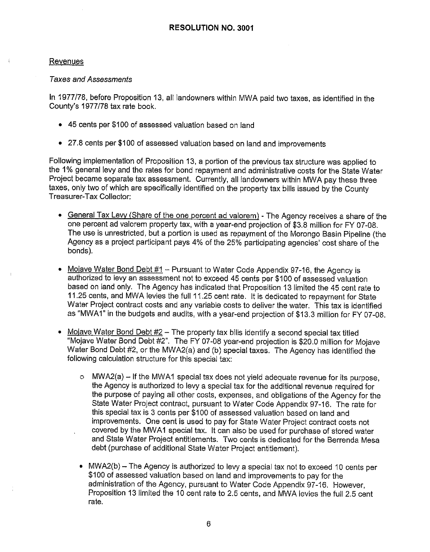# Revenues

# Taxes and Assessments

In 1977/78, before Proposition 13, all landowners within MWA paid two taxes, as identified in the County's 1977/78 tax rate book.

- 45 cents per \$100 of assessed valuation based on land
- 27.8 cents per \$100 of assessed valuation based on land and improvements

Following implementation of Proposition 13, a portion of the previous tax structure was applied to the 1% general levy and the rates for bond repayment and administrative costs for the State Water Project became separate tax assessment. Currently, all landowners within MWA pay these three taxes, only two of which are specifically identified on the property tax bills issued by the County Treasurer-Tax Collector:

- General Tax Levy (Share of the one percent ad valorem) The Agency receives a share of the one percent ad valorem property tax, with a year-end projection of \$3.8 million for FY 07-08. The use is unrestricted, but a portion is used as repayment of the Morongo Basin Pipeline (the Agency as a project participant pays 4% of the 25% participating agencies' cost share of the bonds).
- Mojave Water Bond Debt  $#1 -$  Pursuant to Water Code Appendix 97-16, the Agency is authorized to levy an assessment not to exceed 45 cents per \$100 of assessed valuation based on land only. The Agency has indicated that Proposition 13 limited the 45 cent rate to 11.25 cents, and MWA levies the full 11.25 cent rate. It is dedicated to repayment for State Water Project contract costs and any variable costs to deliver the water. This tax is identified as "MWA1" in the budgets and audits, with a year-end projection of \$13.3 million for FY 07-08.
- Mojave Water Bond Debt  $#2$  The property tax bills identify a second special tax titled "Mojave Water Bond Debt #2". The FY 07-08 year-end projection is \$20.0 million for Mojave Water Bond Debt #2, or the MWA2(a) and (b) special taxes. The Agency has identified the following calculation structure for this special tax:
	- $\circ$  MWA2(a) If the MWA1 special tax does not yield adequate revenue for its purpose, the Agency is authorized to levy a special tax for the additional revenue required for the purpose of paying all other costs, expenses, and obligations of the Agency for the State Water Project contract, pursuant to Water Code Appendix 97-16. The rate for this special tax is 3 cents per \$100 of assessed valuation based on land and improvements. One cent is used to pay for State Water Project contract costs not covered by the MWA1 special tax. It can also be used for purchase of stored water and State Water Project entitlements. Two cents is dedicated for the Berrenda Mesa debt (purchase of additional State Water Project entitlement).
	- MWA2 $(b)$  The Agency is authorized to levy a special tax not to exceed 10 cents per \$100 of assessed valuation based on land and improvements to pay for the administration of the Agency, pursuant to Water Code Appendix 97-16. However, Proposition 13 limited the 10 cent rate to 2.5 cents, and MWA levies the full 2.5 cent rate.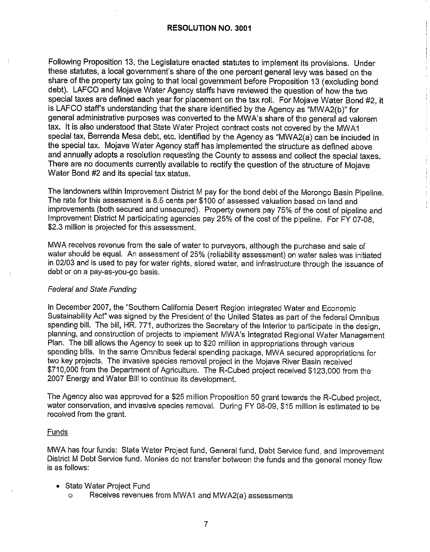Following Proposition 13, the Legislature enacted statutes to implement its provisions. Under these statutes, a local government's share of the one percent general levy was based on the share of the property tax going to that local government before Proposition 13 (excluding bond debt). LAFCO and Mojave Water Agency staffs have reviewed the question of how the two special taxes are defined each year for placement on the tax roll. For Mojave Water Bond #2, it is LAFCO staff's understanding that the share identified by the Agency as "MWA2(b )" for general administrative purposes was converted to the MWA's share of the general ad valorem tax. It is also understood that State Water Project contract costs not covered by the MWA1 special tax, Berrenda Mesa debt, etc. identified by the Agency as "MWA2(a) can be included in the special tax. Mojave Water Agency staff has implemented the structure as defined above and annually adopts a resolution requesting the County to assess and collect the special taxes. There are no documents currently available to rectify the question of the structure of Mojave Water Bond #2 and its special tax status.

The landowners within Improvement District M pay for the bond debt of the Morongo Basin Pipeline. The rate for this assessment is 8.5 cents per \$100 of assessed valuation based on land and improvements (both secured and unsecured). Property owners pay 75% of the cost of pipeline and Improvement District M participating agencies pay 25% of the cost of the pipeline. For FY 07-08, \$2.3 million is projected for this assessment.

MWA receives revenue from the sale of water to purveyors, although the purchase and sale of water should be equal. An assessment of 25% (reliability assessment) on water sales was initiated in 02/03 and is used to pay for water rights, stored water, and infrastructure through the issuance of debt or on a pay-as-you-go basis.

# Federal and State Funding

In December 2007, the "Southern California Desert Region Integrated Water and Economic Sustainability Act" was signed by the President of the United States as part of the federal Omnibus spending bill. The bill, HR. 771, authorizes the Secretary of the Interior to participate in the design, planning, and construction of projects to implement MWA's Integrated Regional Water Management Plan. The bill allows the Agency to seek up to \$20 million in appropriations through various spending bills. In the same Omnibus federal spending package, MWA secured appropriations for two key projects. The invasive species removal project in the Mojave River Basin received \$710,000 from the Department of Agriculture. The R-Cubed project received \$123,000 from the 2007 Energy and Water Bill to continue its development.

The Agency also was approved for a \$25 million Proposition 50 grant towards the R-Cubed project, water conservation, and invasive species removal. During FY 08-09, \$15 million is estimated to be received from the grant.

# Funds

MWA has four funds: State Water Project fund, General fund, Debt Service fund, and Improvement District M Debt Service fund. Monies do not transfer between the funds and the general money flow is as follows:

- State Water Project Fund
	- o Receives revenues from MWA1 and MWA2(a) assessments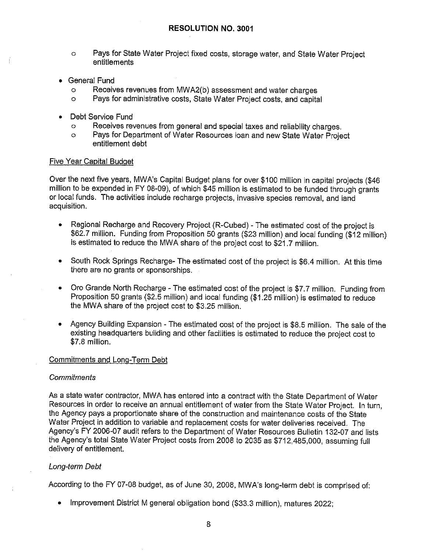- o Pays for State Water Project fixed costs, storage water, and State Water Project entitlements
- General **Fund** 
	- o Receives revenues from MWA2(b) assessment and water charges<br>o Pays for administrative costs. State Water Project costs, and canital
	- Pays for administrative costs, State Water Project costs, and capital
- Debt Service Fund
	- o Receives revenues from general and special taxes and reliability charges.
	- o Pays for Department of Water Resources loan and new State Water Project entitlement debt

# Five Year Capital Budget

Over the next five years, MWA's Capital Budget plans for over \$100 million in capital projects (\$46 million to be expended in FY 08-09), of which \$45 million is estimated to be funded through grants or local funds. The activities include recharge projects, invasive species removal, and land acquisition.

- Regional Recharge and Recovery Project (R-Cubed) The estimated cost of the project is \$62.7 million. Funding from Proposition 50 grants (\$23 million) \_and local funding (\$12 million) is estimated to reduce the MWA share of the project cost to \$21. 7 million.
- South Rock Springs Recharge- The estimated cost of the project is \$6.4 million. At this time there are no grants or sponsorships.
- Oro Grande North Recharge The estimated cost of the project is \$7.7 million. Funding from Proposition 50 grants (\$2.5 million) and local funding (\$1.25 million) is estimated to reduce the MWA share of the project cost to \$3.25 million.
- Agency Building Expansion The estimated cost of the project is \$8.5 million. The sale of the existing headquarters building and other facilities is estimated to reduce the project cost to \$7.8 million.

# Commitments and Long-Term Debt

# **Commitments**

As a state water contractor, MWA has entered into a contract with the State Department of Water Resources in order to receive an annual entitlement of water from the State Water Project. In turn, the Agency pays a proportionate share of the construction and maintenance costs of the State Water Project in addition to variable and replacement costs for water deliveries received, The Agency's FY 2006-07 audit refers to the Department of Water Resources Bulletin 132-07 and lists the Agency's total State Water Project costs from 2008 to 2035 as \$712,485,000, assuming full delivery of entitlement.

# Long-term Debt

According to the FY 07-08 budget, as of June 30, 2008, MW A's long-term debt is comprised of:

• Improvement District M general obligation bond (\$33.3 million), matures 2022;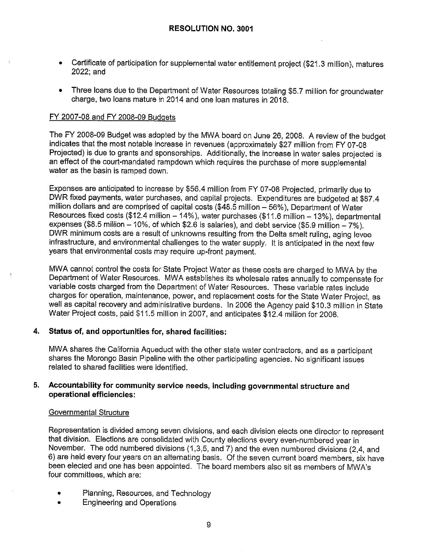- Certificate of participation for supplemental water entitlement project (\$21.3 million), matures 2022; and
- Three loans due to the Department of Water Resources totaling \$5.7 million for groundwater charge, two loans mature in 2014 and one loan matures in 2018.

# FY 2007-08 and FY 2008-09 Budgets

The FY 2008-09 Budget was adopted by the MWA board on June 26, 2008. A review of the budget indicates that the most notable increase in revenues (approximately \$27 million from FY 07-08 Projected) is due to grants and sponsorships. Additionally, the increase in water sales projected is an effect of the court-mandated rampdown which requires the purchase of more supplemental water as the basin is ramped down.

Expenses are anticipated to increase by \$56.4 million from FY 07-08 Projected, primarily due to DWR fixed payments, water purchases, and capital projects. Expenditures are budgeted at \$87.4 million dollars and are comprised of capital costs (\$48.5 million - 56%), Department of Water Resources fixed costs (\$12.4 million - 14%), water purchases (\$11.6 million - 13%), departmental expenses (\$8.5 million  $-10\%$ , of which \$2.6 is salaries), and debt service (\$5.9 million  $-7\%$ ). DWR minimum costs are a result of unknowns resulting from the Delta smelt ruling, aging levee infrastructure, and environmental challenges to the water supply. It is anticipated in the next few years that environmental costs may require up-front payment.

MWA cannot control the costs for State Project Water as these costs are charged to MWA by the Department of Water Resources. MWA establishes its wholesale rates annually to compensate for variable costs charged from the Department of Water Resources. These variable rates include charges for operation, maintenance, power, and replacement costs for the State Water Project, as well as capital recovery and administrative burdens. In 2006 the Agency paid \$10.3 million in State Water Project costs, paid \$11.5 million in 2007, and anticipates \$12.4 million for 2008.

# **4. Status of, and opportunities for, shared facilities:**

MWA shares the California Aqueduct with the other state water contractors, and as a participant shares the Morongo Basin Pipeline with the other participating agencies. No significant issues related to shared facilities were identified.

# **5. Accountability for community service needs, including governmental structure and operational efficiencies:**

# Governmental Structure

Representation is divided among seven divisions, and each division elects one director to represent that division. Elections are consolidated with County elections every even-numbered year in November. The odd numbered divisions (1,3,5, and 7) and the even numbered divisions (2.4, and 6) are held every four years on an alternating basis. Of the seven current board members, six have been elected and one has been appointed. The board members also sit as members of MWA's four committees, which are:

- Planning, Resources, and Technology
- Engineering and Operations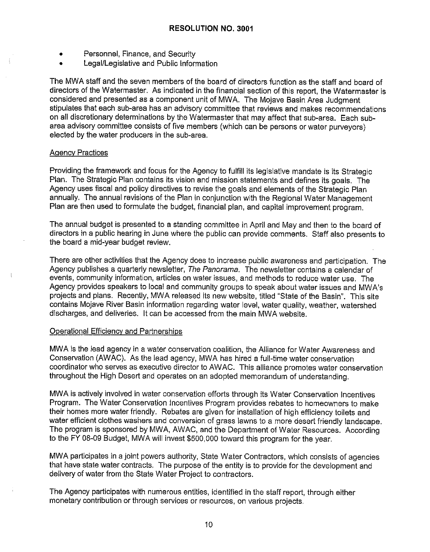- Personnel, Finance, and Security
- Legal/Legislative and Public Information

The MWA staff and the seven members of the board of directors function as the staff and board of directors of the Watermaster. As indicated in the financial section of this report, the Watermaster is considered and presented as a component unit of MWA. The Mojave Basin Area Judgment stipulates that each sub-area has an advisory committee that reviews and makes recommendations on all discretionary determinations by the Watermaster that may affect that sub-area. Each subarea advisory committee consists of five members (which can be persons or water purveyors) elected by the water producers in the sub-area.

# Agency Practices

Providing the framework and focus for the Agency to fulfill its legislative mandate is its Strategic Plan. The Strategic Plan contains its vision and mission statements and defines its goals. The Agency uses fiscal and policy directives to revise the goals and elements of the Strategic Plan annually. The annual revisions of the Plan in conjunction with the Regional Water Management Plan are then used to formulate the budget, financial plan, and capital improvement program.

The annual budget is presented to a standing committee in April and May and then to the board of directors in a public hearing in June where the public can provide comments. Staff also presents to the board a mid-year budget review.

There are other activities that the Agency does to increase public awareness and participation. The Agency publishes a quarterly newsletter, The Panorama. The newsletter contains a calendar of events, community information, articles on water issues, and methods to reduce water use. The Agency provides speakers to local and community groups to speak about water issues and MW A's projects and plans. Recently, MWA released its new website, titled "State of the Basin". This site contains Mojave River Basin information regarding water level, water quality, weather, watershed discharges, and deliveries. It can be accessed from the main MWA website.

# Operational Efficiency and Partnerships

MWA is the lead agency in a water conservation coalition, the Alliance for Water Awareness and Conservation (AWAC). As the lead agency, MWA has hired a full-time water conservation coordinator who serves as executive director to AWAC. This alliance promotes water conservation throughout the High Desert and operates on an adopted memorandum of understanding.

MWA is actively involved in water conservation efforts through its Water Conservation Incentives Program. The Water Conservation Incentives Program provides rebates to homeowners to make their homes more water friendly. Rebates are given for installation of high efficiency toilets and water efficient clothes washers and conversion of grass lawns to a more desert friendly landscape. The program is sponsored by MWA, AWAC, and the Department of Water Resources. According to the FY 08-09 Budget, MWA will invest \$500,000 toward this program for the year.

MWA participates in a joint powers authority, State Water Contractors, which consists of agencies that have state water contracts. The purpose of the entity is to provide for the development and delivery of water from the State Water Project to contractors.

The Agency participates with numerous entities, identified in the staff report, through either monetary contribution or through services or resources, on various projects.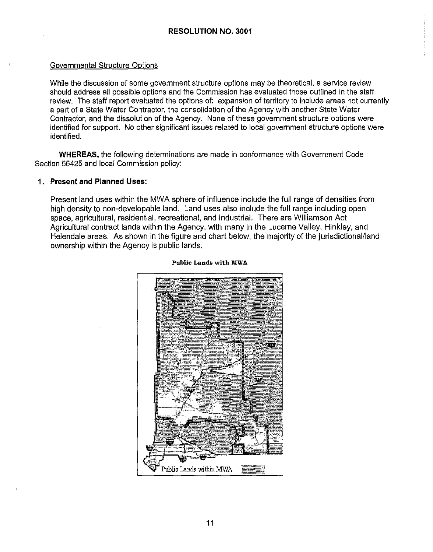# Governmental Structure Options

While the discussion of some government structure options may be theoretical, a service review should address all possible options and the Commission has evaluated those outlined in the staff review. The staff report evaluated the options of: expansion of territory to include areas not currently a part of a State Water Contractor, the consolidation of the Agency with another State Water Contractor, and the dissolution of the Agency. None of these government structure options were identified for support. No other significant issues related to local government structure options were identified.

**WHEREAS,** the following determinations are made in conformance with Government Code Section 56425 and local Commission policy:

# **1. Present and Planned Uses:**

Present land uses within the MWA sphere of influence include the full range of densities from high density to non-developable land. Land uses also include the full range including open space, agricultural, residential, recreational, and industrial. There are Williamson Act Agricultural contract lands within the Agency, with many in the Lucerne Valley, Hinkley, and Helendale areas. As shown in the figure and chart below, the majority of the jurisdictional/land ownership within the Agency is public lands.



#### **Public Lands with MWA**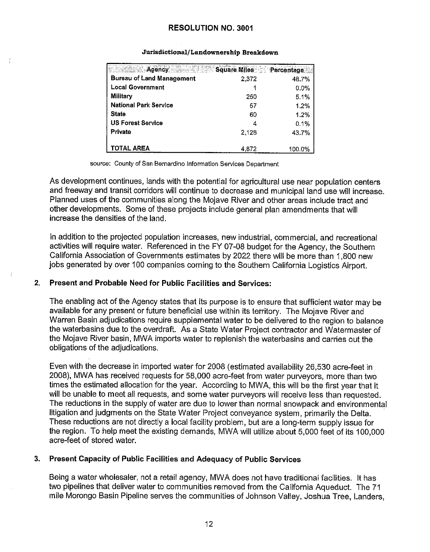| <b>Agency</b>                    | Square Miles Percentage |         |
|----------------------------------|-------------------------|---------|
| <b>Bureau of Land Management</b> | 2,372                   | 48.7%   |
| <b>Local Government</b>          |                         | $0.0\%$ |
| Military                         | 250                     | 5.1%    |
| <b>National Park Service</b>     | 57                      | 1.2%    |
| <b>State</b>                     | 60                      | 1.2%    |
| <b>US Forest Service</b>         |                         | 0.1%    |
| Private                          | 2.128                   | 43.7%   |
|                                  |                         |         |
| TOTAL AREA                       | 4.872                   | 100.0%  |

#### Jurisdictional/Landownership Breakdown

source: County of San Bernardino Information Services Department

As development continues, lands with the potential for agricultural use near population centers and freeway and transit corridors will continue to decrease and municipal land use will increase. Planned uses of the communities along the Mojave River and other areas include tract and other developments. Some of these projects include general plan amendments that will increase the densities of the land.

In addition to the projected population increases, new industrial, commercial, and recreational activities will require water. Referenced in the FY 07-08 budget for the Agency, the Southern California Association of Governments estimates by 2022 there will be more than 1,800 new jobs generated by over 100 companies coming to the Southern California Logistics Airport.

# **2. Present and Probable Need for Public Facilities and Services:**

The enabling act of the Agency states that its purpose is to ensure that sufficient water may be available for any present or future beneficial use within its territory. The Mojave River and Warren Basin adjudications require supplemental water to be delivered to the region to balance the waterbasins due to the overdraft. As a State Water Project contractor and Watermaster of the Mojave River basin, MWA imports water to replenish the waterbasins and carries out the obligations of the adjudications.

Even with the decrease in imported water for 2008 ( estimated availability 26,530 acre-feet in 2008), MWA has received requests for 58,000 acre-feet from water purveyors, more than two times the estimated allocation for the year. According to MWA, this will be the first year that it will be unable to meet all requests, and some water purveyors will receive less than requested. The reductions in the supply of water are due to lower than normal snowpack and environmental litigation and judgments on the State Water Project conveyance system, primarily the Delta. These reductions are not directly a local facility problem, but are a long-term supply issue for the region. To help meet the existing demands, MWA will utilize about 5,000 feet of its 100,000 acre-feet of stored water.

# **3. Present Capacity of Public Facilities and Adequacy of Public Services**

Being a water wholesaler, not a retail agency, MWA does not have traditional facilities. It has two pipelines that deliver water to communities removed from the California Aqueduct. The 71 mile Morongo Basin Pipeline serves the communities of Johnson Valley, Joshua Tree, Landers,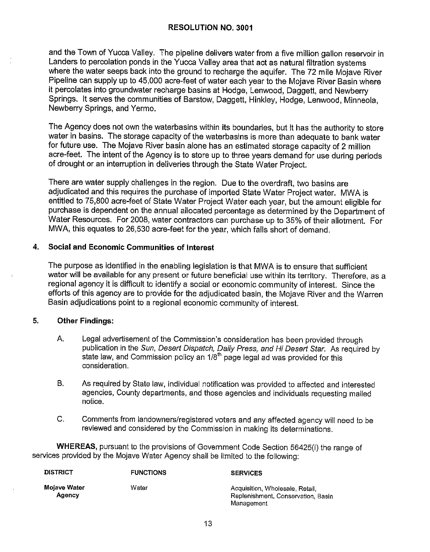and the Town of Yucca Valley. The pipeline delivers water from a five million gallon reservoir in Landers to percolation ponds in the Yucca Valley area that act as natural filtration systems where the water seeps back into the ground to recharge the aquifer. The 72 mile Mojave River Pipeline can supply up to 45,000 acre-feet of water each year to the Mojave River Basin where it percolates into groundwater recharge basins at Hodge, Lenwood, Daggett, and Newberry Springs. It serves the communities of Barstow, Daggett, Hinkley, Hodge, Lenwood, Minneola, Newberry Springs, and Yermo.

The Agency does not own the waterbasins within its boundaries, but it has the authority to store water in basins. The storage capacity of the waterbasins is more than adequate to bank water for future use. The Mojave River basin alone has an estimated storage capacity of 2 million acre-feet. The intent of the Agency is to store up to three years demand for use during periods of drought or an interruption in deliveries through the State Water Project.

There are water supply challenges in the region. Due to the overdraft, two basins are adjudicated and this requires the purchase of imported State Water Project water. MWA is entitled to 75,800 acre-feet of State Water Project Water each year, but the amount eligible for purchase is dependent on the annual allocated percentage as determined by the Department of Water Resources. For 2008, water contractors can purchase up to 35% of their allotment. For MWA, this equates to 26,530 acre-feet for the year, which falls short of demand.

# **4. Social and Economic Communities of Interest**

The purpose as identified in the enabling legislation is that MWA is to ensure that sufficient water will be available for any present or future beneficial use within its territory. Therefore, as a regional agency it is difficult to identify a social or economic community of interest. Since the efforts of this agency are to provide for the adjudicated basin, the Mojave River and the Warren Basin adjudications point to a regional economic community of interest.

# **5. Other Findings:**

- A. Legal advertisement of the Commission's consideration has been provided through publication in the Sun, Desert Dispatch, Daily Press, and Hi Desert Star. As required by state law, and Commission policy an  $1/8<sup>th</sup>$  page legal ad was provided for this consideration.
- B. As required by State law, individual notification was provided to affected and interested agencies, County departments, and those agencies and individuals requesting mailed notice.
- C. Comments from landowners/registered voters and any affected agency will need to be reviewed and considered by the Commission in making its determinations.

**WHEREAS,** pursuant to the provisions of Government Code Section 56425(i) the range of services provided by the Mojave Water Agency shall be limited to the following:

| <b>DISTRICT</b>        | <b>FUNCTIONS</b> | <b>SERVICES</b>                                                                     |
|------------------------|------------------|-------------------------------------------------------------------------------------|
| Mojave Water<br>Agency | Water            | Acquisition, Wholesale, Retail.<br>Replenishment, Conservation, Basin<br>Management |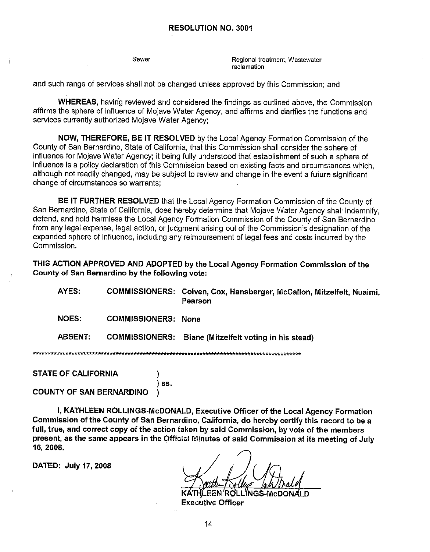Sewer

Regional treatment, Wastewater **reclamation** 

and such range of services shall not be changed unless approved by this Commission; and

**WHEREAS,** havirig reviewed and considered the findings as outlined above, the Commission affirms the sphere of influence of Mojave Water Agency, and affirms and clarifies the functions and services currently authorized Mojave Water Agency:

**NOW, THEREFORE, BE IT RESOLVED** by the Local Agency Formation Commission of the County of San Bernardino, State of California, that this Commission shall consider the sphere of influence for Mojave Water Agency; it being fully understood that establishment of such a sphere of influence is a policy declaration of this Commission based on existing facts and circumstances which, although not readily changed, may be subject to review and change in the event a future significant change of circumstances so warrants;

**BE** IT **FURTHER RESOLVED** that the Local Agency Formation Commission of the County of San Bernardino, State of California, does hereby determine that Mojave Water Agency shall indemnify, defend, and hold harmless the Local Agency Formation Commission of the County of San Bernardino from any legal expense, legal action, or judgment arising out of the Commission's designation of the expanded sphere of influence, including any reimbursement of legal fees and costs incurred by the Commission.

**THIS ACTION APPROVED AND ADOPTED by the Local Agency Formation Commission of the County of San Bernardino by the following vote:** 

**AYES: COMMISSIONERS: Colven, Cox, Hansberger, McCallon, Mitzelfelt, Nuaimi, Pearson** 

**NOES: COMMISSIONERS: None** 

**ABSENT: COMMISSIONERS: Biane (Mitzelfelt voting in his stead)** 

الأواجأة الأواطرا والموارد ولواجأه ولواجأه ولواحا والموادوق وكواث ولواحا والمرادعة 

**STATE OF CALIFORNIA** )

) **ss.** 

**COUNTY OF SAN BERNARDINO** )

I, **KATHLEEN ROLLINGS-McDONALD, Executive Officer of the Local Agency Formation Commission of the County of San Bernardino, California, do hereby certify this record to be a full, true, and correct copy of the action taken by said Commission, by vote of the members present, as the same appears in the Official Minutes of said Commission at its meeting of July 16, 2008.** 

**DATED: July 17, 2008** 

**JGS-McDON/ Executive Officer** 

14